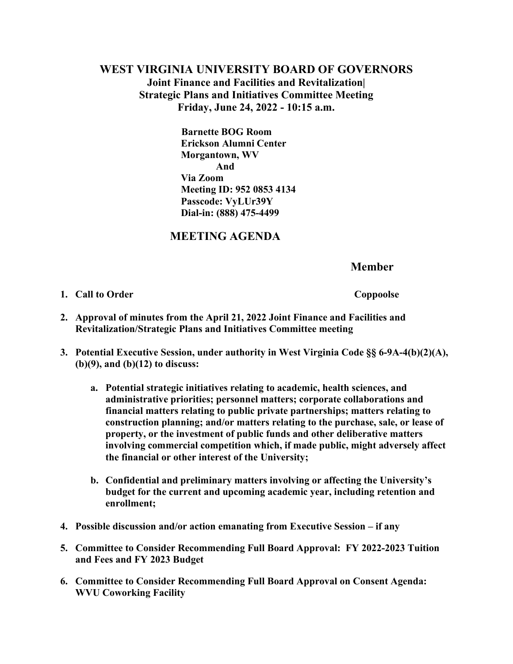## **WEST VIRGINIA UNIVERSITY BOARD OF GOVERNORS Joint Finance and Facilities and Revitalization| Strategic Plans and Initiatives Committee Meeting Friday, June 24, 2022 - 10:15 a.m.**

**Barnette BOG Room Erickson Alumni Center Morgantown, WV And Via Zoom Meeting ID: 952 0853 4134 Passcode: VyLUr39Y Dial-in: (888) 475-4499** 

## **MEETING AGENDA**

 **Member**

**1. Call to Order** Coppoolse

- **2. Approval of minutes from the April 21, 2022 Joint Finance and Facilities and Revitalization/Strategic Plans and Initiatives Committee meeting**
- **3. Potential Executive Session, under authority in West Virginia Code §§ 6-9A-4(b)(2)(A), (b)(9), and (b)(12) to discuss:** 
	- **a. Potential strategic initiatives relating to academic, health sciences, and administrative priorities; personnel matters; corporate collaborations and financial matters relating to public private partnerships; matters relating to construction planning; and/or matters relating to the purchase, sale, or lease of property, or the investment of public funds and other deliberative matters involving commercial competition which, if made public, might adversely affect the financial or other interest of the University;**
	- **b. Confidential and preliminary matters involving or affecting the University's budget for the current and upcoming academic year, including retention and enrollment;**
- **4. Possible discussion and/or action emanating from Executive Session – if any**
- **5. Committee to Consider Recommending Full Board Approval: FY 2022-2023 Tuition and Fees and FY 2023 Budget**
- **6. Committee to Consider Recommending Full Board Approval on Consent Agenda: WVU Coworking Facility**